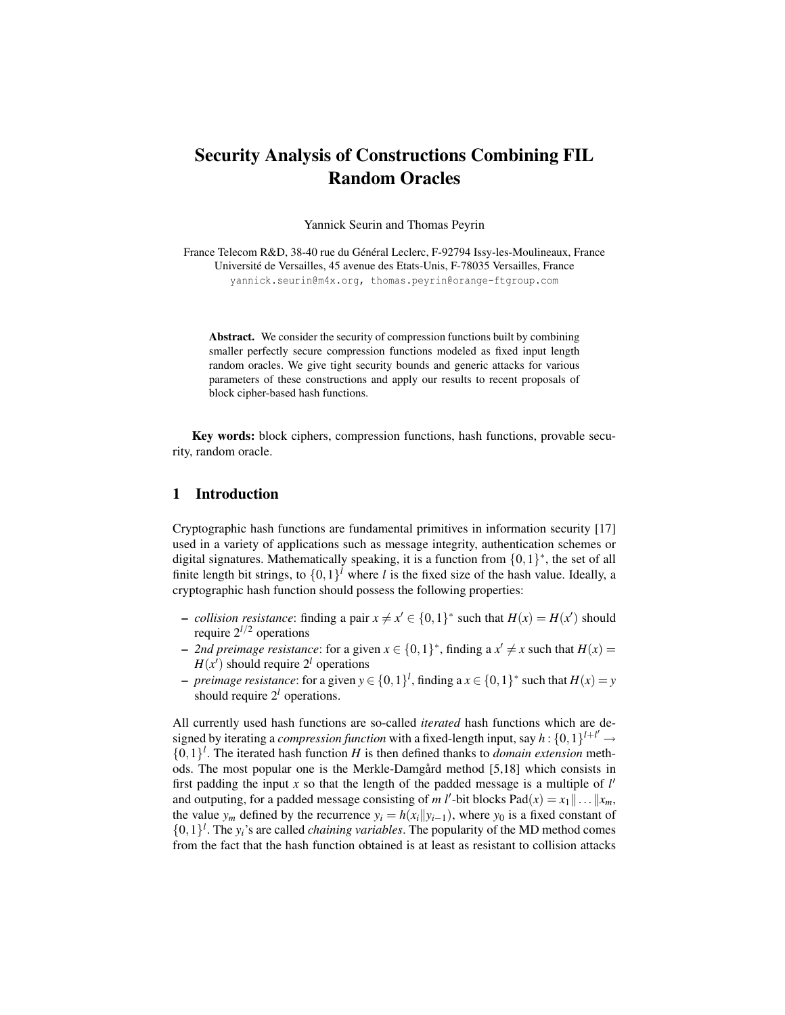# Security Analysis of Constructions Combining FIL Random Oracles

Yannick Seurin and Thomas Peyrin

France Telecom R&D, 38-40 rue du Général Leclerc, F-92794 Issy-les-Moulineaux, France Université de Versailles, 45 avenue des Etats-Unis, F-78035 Versailles, France yannick.seurin@m4x.org, thomas.peyrin@orange-ftgroup.com

Abstract. We consider the security of compression functions built by combining smaller perfectly secure compression functions modeled as fixed input length random oracles. We give tight security bounds and generic attacks for various parameters of these constructions and apply our results to recent proposals of block cipher-based hash functions.

Key words: block ciphers, compression functions, hash functions, provable security, random oracle.

## 1 Introduction

Cryptographic hash functions are fundamental primitives in information security [17] used in a variety of applications such as message integrity, authentication schemes or digital signatures. Mathematically speaking, it is a function from  $\{0,1\}^*$ , the set of all finite length bit strings, to  $\{0,1\}^l$  where *l* is the fixed size of the hash value. Ideally, a cryptographic hash function should possess the following properties:

- − *collision resistance*: finding a pair  $x \neq x' \in \{0,1\}^*$  such that  $H(x) = H(x')$  should require  $2^{l/2}$  operations
- − 2*nd preimage resistance*: for a given  $x \in \{0,1\}^*$ , finding a  $x' \neq x$  such that  $H(x) =$  $H(x')$  should require  $2<sup>l</sup>$  operations
- − *preimage resistance*: for a given  $y \in \{0, 1\}^l$ , finding a  $x \in \{0, 1\}^*$  such that  $H(x) = y$ should require  $2<sup>l</sup>$  operations.

All currently used hash functions are so-called *iterated* hash functions which are designed by iterating a *compression function* with a fixed-length input, say  $h: \{0,1\}^{l+l'} \rightarrow$  $\{0,1\}^l$ . The iterated hash function *H* is then defined thanks to *domain extension* methods. The most popular one is the Merkle-Damgård method [5,18] which consists in first padding the input  $x$  so that the length of the padded message is a multiple of  $l'$ and outputing, for a padded message consisting of *m l'*-bit blocks  $\text{Pad}(x) = x_1 \|\dots\|x_m$ , the value *y<sub>m</sub>* defined by the recurrence  $y_i = h(x_i||y_{i-1})$ , where  $y_0$  is a fixed constant of  $\{0,1\}^l$ . The  $y_i$ 's are called *chaining variables*. The popularity of the MD method comes from the fact that the hash function obtained is at least as resistant to collision attacks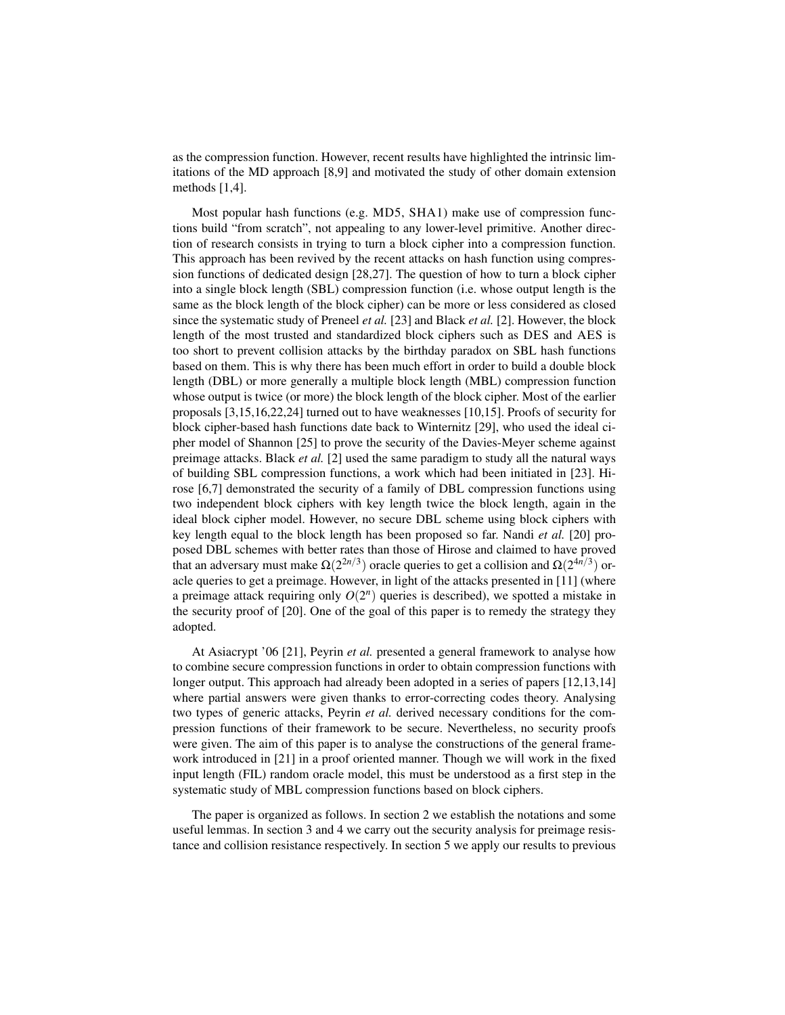as the compression function. However, recent results have highlighted the intrinsic limitations of the MD approach [8,9] and motivated the study of other domain extension methods [1,4].

Most popular hash functions (e.g. MD5, SHA1) make use of compression functions build "from scratch", not appealing to any lower-level primitive. Another direction of research consists in trying to turn a block cipher into a compression function. This approach has been revived by the recent attacks on hash function using compression functions of dedicated design [28,27]. The question of how to turn a block cipher into a single block length (SBL) compression function (i.e. whose output length is the same as the block length of the block cipher) can be more or less considered as closed since the systematic study of Preneel *et al.* [23] and Black *et al.* [2]. However, the block length of the most trusted and standardized block ciphers such as DES and AES is too short to prevent collision attacks by the birthday paradox on SBL hash functions based on them. This is why there has been much effort in order to build a double block length (DBL) or more generally a multiple block length (MBL) compression function whose output is twice (or more) the block length of the block cipher. Most of the earlier proposals [3,15,16,22,24] turned out to have weaknesses [10,15]. Proofs of security for block cipher-based hash functions date back to Winternitz [29], who used the ideal cipher model of Shannon [25] to prove the security of the Davies-Meyer scheme against preimage attacks. Black *et al.* [2] used the same paradigm to study all the natural ways of building SBL compression functions, a work which had been initiated in [23]. Hirose [6,7] demonstrated the security of a family of DBL compression functions using two independent block ciphers with key length twice the block length, again in the ideal block cipher model. However, no secure DBL scheme using block ciphers with key length equal to the block length has been proposed so far. Nandi *et al.* [20] proposed DBL schemes with better rates than those of Hirose and claimed to have proved that an adversary must make  $\Omega(2^{2n/3})$  oracle queries to get a collision and  $\Omega(2^{4n/3})$  oracle queries to get a preimage. However, in light of the attacks presented in [11] (where a preimage attack requiring only  $O(2^n)$  queries is described), we spotted a mistake in the security proof of [20]. One of the goal of this paper is to remedy the strategy they adopted.

At Asiacrypt '06 [21], Peyrin *et al.* presented a general framework to analyse how to combine secure compression functions in order to obtain compression functions with longer output. This approach had already been adopted in a series of papers [12,13,14] where partial answers were given thanks to error-correcting codes theory. Analysing two types of generic attacks, Peyrin *et al.* derived necessary conditions for the compression functions of their framework to be secure. Nevertheless, no security proofs were given. The aim of this paper is to analyse the constructions of the general framework introduced in [21] in a proof oriented manner. Though we will work in the fixed input length (FIL) random oracle model, this must be understood as a first step in the systematic study of MBL compression functions based on block ciphers.

The paper is organized as follows. In section 2 we establish the notations and some useful lemmas. In section 3 and 4 we carry out the security analysis for preimage resistance and collision resistance respectively. In section 5 we apply our results to previous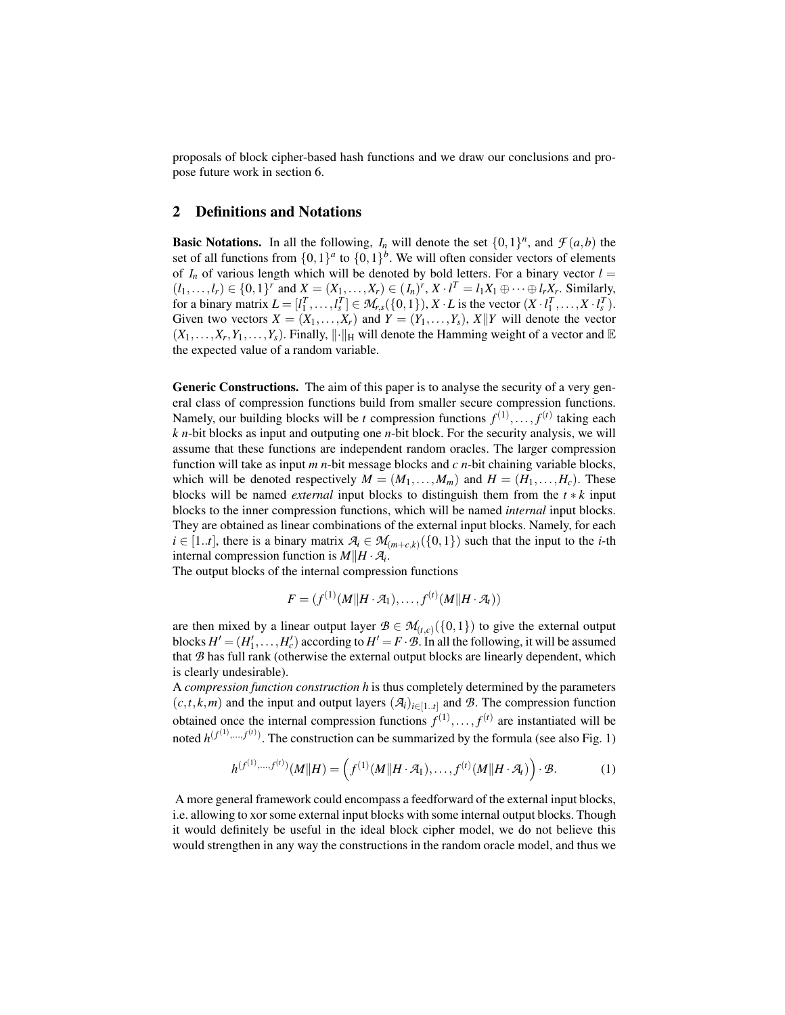proposals of block cipher-based hash functions and we draw our conclusions and propose future work in section 6.

## 2 Definitions and Notations

**Basic Notations.** In all the following,  $I_n$  will denote the set  $\{0,1\}^n$ , and  $\mathcal{F}(a,b)$  the set of all functions from  $\{0,1\}^a$  to  $\{0,1\}^b$ . We will often consider vectors of elements of  $I_n$  of various length which will be denoted by bold letters. For a binary vector  $l =$  $(l_1, ..., l_r) \in \{0, 1\}^r$  and  $X = (X_1, ..., X_r) \in (I_n)^r$ ,  $X \cdot l^T = l_1 X_1 \oplus \cdots \oplus l_r X_r$ . Similarly, for a binary matrix  $L = [l_1^T, \dots, l_s^T] \in M_{r,s}(\{0,1\}), X \cdot L$  is the vector  $(X \cdot l_1^T, \dots, X \cdot l_s^T)$ . Given two vectors  $X = (X_1, \ldots, X_r)$  and  $Y = (Y_1, \ldots, Y_s)$ ,  $X||Y$  will denote the vector  $(X_1, \ldots, X_r, Y_1, \ldots, Y_s)$ . Finally,  $\|\cdot\|_H$  will denote the Hamming weight of a vector and  $\mathbb E$ the expected value of a random variable.

Generic Constructions. The aim of this paper is to analyse the security of a very general class of compression functions build from smaller secure compression functions. Namely, our building blocks will be *t* compression functions  $f^{(1)},..., f^{(t)}$  taking each *k n*-bit blocks as input and outputing one *n*-bit block. For the security analysis, we will assume that these functions are independent random oracles. The larger compression function will take as input *m n*-bit message blocks and *c n*-bit chaining variable blocks, which will be denoted respectively  $M = (M_1, \ldots, M_m)$  and  $H = (H_1, \ldots, H_c)$ . These blocks will be named *external* input blocks to distinguish them from the *t* ∗ *k* input blocks to the inner compression functions, which will be named *internal* input blocks. They are obtained as linear combinations of the external input blocks. Namely, for each  $i \in [1..t]$ , there is a binary matrix  $\mathcal{A}_i \in \mathcal{M}_{(m+c,k)}(\{0,1\})$  such that the input to the *i*-th internal compression function is  $M||H \cdot A_i$ .

The output blocks of the internal compression functions

$$
F = (f^{(1)}(M||H \cdot \mathcal{A}_1), \ldots, f^{(t)}(M||H \cdot \mathcal{A}_t))
$$

are then mixed by a linear output layer  $B \in M_{(t,c)}(\{0,1\})$  to give the external output blocks  $H' = (H'_1, \ldots, H'_c)$  according to  $H' = F \cdot \mathcal{B}$ . In all the following, it will be assumed that *B* has full rank (otherwise the external output blocks are linearly dependent, which is clearly undesirable).

A *compression function construction h* is thus completely determined by the parameters  $(c, t, k, m)$  and the input and output layers  $(A_i)_{i \in [1..t]}$  and *B*. The compression function obtained once the internal compression functions  $f^{(1)}, \ldots, f^{(t)}$  are instantiated will be noted  $h^{(f^{(1)},...,f^{(t)})}$ . The construction can be summarized by the formula (see also Fig. 1)

$$
h^{(f^{(1)},...,f^{(t)})}(M||H) = (f^{(1)}(M||H \cdot \mathcal{A}_1),...,f^{(t)}(M||H \cdot \mathcal{A}_t)) \cdot \mathcal{B}.
$$
 (1)

A more general framework could encompass a feedforward of the external input blocks, i.e. allowing to xor some external input blocks with some internal output blocks. Though it would definitely be useful in the ideal block cipher model, we do not believe this would strengthen in any way the constructions in the random oracle model, and thus we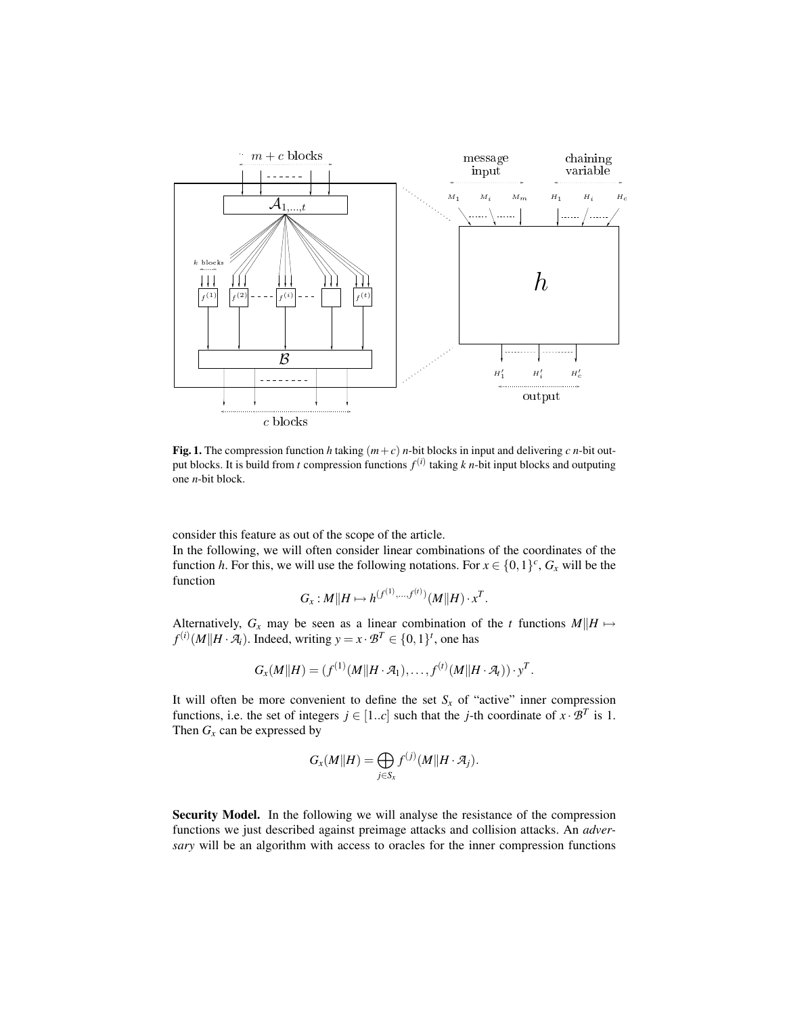

Fig. 1. The compression function *h* taking  $(m+c)$  *n*-bit blocks in input and delivering *c n*-bit output blocks. It is build from *t* compression functions *f* (*i*) taking *k n*-bit input blocks and outputing one *n*-bit block.

consider this feature as out of the scope of the article.

In the following, we will often consider linear combinations of the coordinates of the function *h*. For this, we will use the following notations. For  $x \in \{0,1\}^c$ ,  $G_x$  will be the function  $(1)$ 

$$
G_x: M||H \mapsto h^{(f^{(1)},...,f^{(t)})}(M||H) \cdot x^T.
$$

Alternatively,  $G_x$  may be seen as a linear combination of the *t* functions  $M||H \mapsto$  $f^{(i)}(M||H \cdot \mathcal{A}_i)$ . Indeed, writing  $y = x \cdot \mathcal{B}^T \in \{0, 1\}^t$ , one has

$$
G_x(M||H) = (f^{(1)}(M||H \cdot \mathcal{A}_1), \ldots, f^{(t)}(M||H \cdot \mathcal{A}_t)) \cdot y^T.
$$

It will often be more convenient to define the set  $S<sub>x</sub>$  of "active" inner compression functions, i.e. the set of integers  $j \in [1..c]$  such that the *j*-th coordinate of  $x \cdot \mathcal{B}^T$  is 1. Then  $G_x$  can be expressed by

$$
G_x(M||H) = \bigoplus_{j \in S_x} f^{(j)}(M||H \cdot \mathcal{A}_j).
$$

Security Model. In the following we will analyse the resistance of the compression functions we just described against preimage attacks and collision attacks. An *adversary* will be an algorithm with access to oracles for the inner compression functions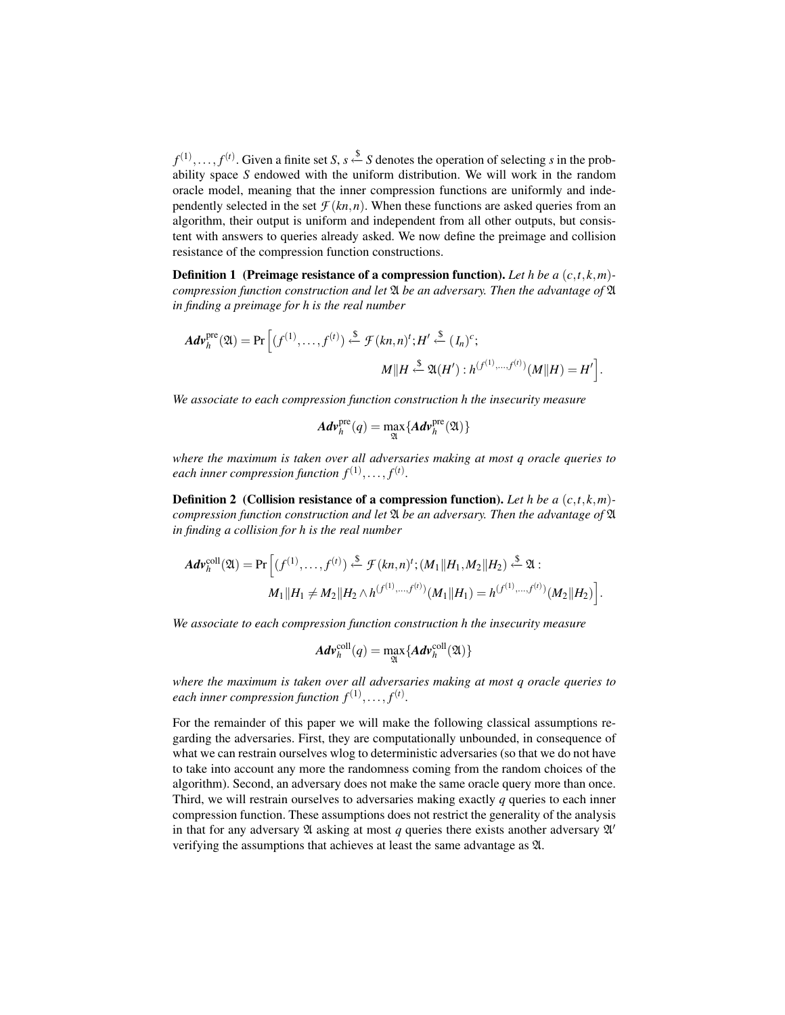$f^{(1)}, \ldots, f^{(t)}$ . Given a finite set *S*, *s*  $\xi$  *S* denotes the operation of selecting *s* in the probability space *S* endowed with the uniform distribution. We will work in the random oracle model, meaning that the inner compression functions are uniformly and independently selected in the set  $\mathcal{F}(kn,n)$ . When these functions are asked queries from an algorithm, their output is uniform and independent from all other outputs, but consistent with answers to queries already asked. We now define the preimage and collision resistance of the compression function constructions.

Definition 1 (Preimage resistance of a compression function). *Let h be a* (*c*,*t*,*k*,*m*) *compression function construction and let* A *be an adversary. Then the advantage of* A *in finding a preimage for h is the real number*

$$
Adv_h^{\text{pre}}(\mathfrak{A}) = \Pr\left[ (f^{(1)}, \dots, f^{(t)}) \stackrel{\$}{\leftarrow} \mathcal{F}(kn, n)'; H' \stackrel{\$}{\leftarrow} (I_n)^c;
$$

$$
M||H \stackrel{\$}{\leftarrow} \mathfrak{A}(H') : h^{(f^{(1)}, \dots, f^{(t)})}(M||H) = H' \right].
$$

*We associate to each compression function construction h the insecurity measure*

$$
Adv_h^{\text{pre}}(q) = \max_{\mathfrak{A}} \{Adv_h^{\text{pre}}(\mathfrak{A})\}
$$

*where the maximum is taken over all adversaries making at most q oracle queries to* each inner compression function  $f^{(1)},...,f^{(t)}$ .

Definition 2 (Collision resistance of a compression function). *Let h be a* (*c*,*t*,*k*,*m*) *compression function construction and let* A *be an adversary. Then the advantage of* A *in finding a collision for h is the real number*

$$
Adv_h^{\text{coll}}(\mathfrak{A}) = \Pr\left[ (f^{(1)}, \ldots, f^{(t)}) \stackrel{\$}{\leftarrow} \mathcal{F}(kn, n)^t; (M_1||H_1, M_2||H_2) \stackrel{\$}{\leftarrow} \mathfrak{A} : M_1||H_1 \neq M_2||H_2 \wedge h^{(f^{(1)}, \ldots, f^{(t)})}(M_1||H_1) = h^{(f^{(1)}, \ldots, f^{(t)})}(M_2||H_2) \right].
$$

*We associate to each compression function construction h the insecurity measure*

$$
Adv_h^{\text{coll}}(q) = \max_{\mathfrak{A}} \{ Adv_h^{\text{coll}}(\mathfrak{A}) \}
$$

*where the maximum is taken over all adversaries making at most q oracle queries to* each inner compression function  $f^{(1)},...,f^{(t)}$ .

For the remainder of this paper we will make the following classical assumptions regarding the adversaries. First, they are computationally unbounded, in consequence of what we can restrain ourselves wlog to deterministic adversaries (so that we do not have to take into account any more the randomness coming from the random choices of the algorithm). Second, an adversary does not make the same oracle query more than once. Third, we will restrain ourselves to adversaries making exactly *q* queries to each inner compression function. These assumptions does not restrict the generality of the analysis in that for any adversary  $\mathfrak A$  asking at most  $q$  queries there exists another adversary  $\mathfrak A'$ verifying the assumptions that achieves at least the same advantage as A.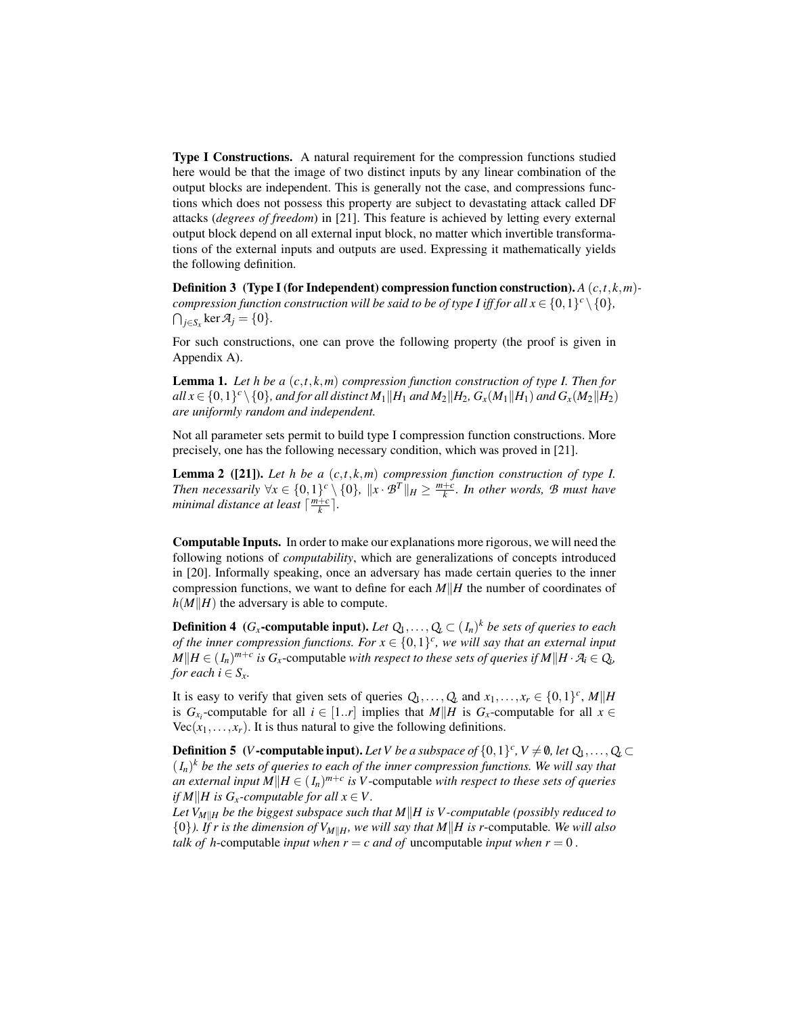Type I Constructions. A natural requirement for the compression functions studied here would be that the image of two distinct inputs by any linear combination of the output blocks are independent. This is generally not the case, and compressions functions which does not possess this property are subject to devastating attack called DF attacks (*degrees of freedom*) in [21]. This feature is achieved by letting every external output block depend on all external input block, no matter which invertible transformations of the external inputs and outputs are used. Expressing it mathematically yields the following definition.

Definition 3 (Type I (for Independent) compression function construction). *A* (*c*,*t*,*k*,*m*) *compression function construction will be said to be of type I iff for all*  $x \in \{0,1\}^c \setminus \{0\},$  $\bigcap_{j \in S_X} \ker \mathcal{A}_j = \{0\}.$ 

For such constructions, one can prove the following property (the proof is given in Appendix A).

Lemma 1. *Let h be a* (*c*,*t*,*k*,*m*) *compression function construction of type I. Then for*  $all\ x \in \{0,1\}^c \setminus \{0\}$ , and for all distinct  $M_1$  || $H_1$  and  $M_2$  || $H_2$ ,  $G_x(M_1$  || $H_1)$  and  $G_x(M_2)$ || $H_2)$ *are uniformly random and independent.*

Not all parameter sets permit to build type I compression function constructions. More precisely, one has the following necessary condition, which was proved in [21].

Lemma 2 ([21]). *Let h be a* (*c*,*t*,*k*,*m*) *compression function construction of type I. Then necessarily*  $\forall x \in \{0,1\}^c \setminus \{0\}$ ,  $\|x \cdot B^T\|_H \ge \frac{m+c}{k}$ . In other words,  $B$  must have *minimal distance at least*  $\lceil \frac{m+c}{k} \rceil$ *.* 

Computable Inputs. In order to make our explanations more rigorous, we will need the following notions of *computability*, which are generalizations of concepts introduced in [20]. Informally speaking, once an adversary has made certain queries to the inner compression functions, we want to define for each  $M||H$  the number of coordinates of  $h(M||H)$  the adversary is able to compute.

**Definition 4** ( $G_x$ -computable input). Let  $Q_1, \ldots, Q_t \subset (I_n)^k$  be sets of queries to each *of the inner compression functions. For*  $x \in \{0,1\}^c$ , we will say that an external input  $M||H \in (I_n)^{m+c}$  *is*  $G_x$ -computable *with respect to these sets of queries if*  $M||H \cdot \mathcal{A}_i \in Q_i$ , *for each*  $i \in S_x$ .

It is easy to verify that given sets of queries  $Q_1, \ldots, Q_t$  and  $x_1, \ldots, x_r \in \{0, 1\}^c$ ,  $M||H$ is  $G_{x_i}$ -computable for all  $i \in [1..r]$  implies that  $M||H$  is  $G_x$ -computable for all  $x \in$  $Vec(x_1, \ldots, x_r)$ . It is thus natural to give the following definitions.

**Definition 5** (*V*-computable input). Let *V* be a subspace of  $\{0,1\}^c$ ,  $V \neq \emptyset$ , let  $Q_1, \ldots, Q_t \subset$  $(I_n)^k$  be the sets of queries to each of the inner compression functions. We will say that *an external input*  $M||H \in (I_n)^{m+c}$  *is* V-computable *with respect to these sets of queries if*  $M||H$  *is*  $G_x$ -computable for all  $x \in V$ .

Let  $V_{M\|H}$  be the biggest subspace such that  $M\|H$  is V-computable (possibly reduced to  $\{0\}$ ). If r is the dimension of  $V_{M||H}$ , we will say that M||H is r-computable. We will also *talk of h*-computable *input when*  $r = c$  *and of* uncomputable *input when*  $r = 0$ .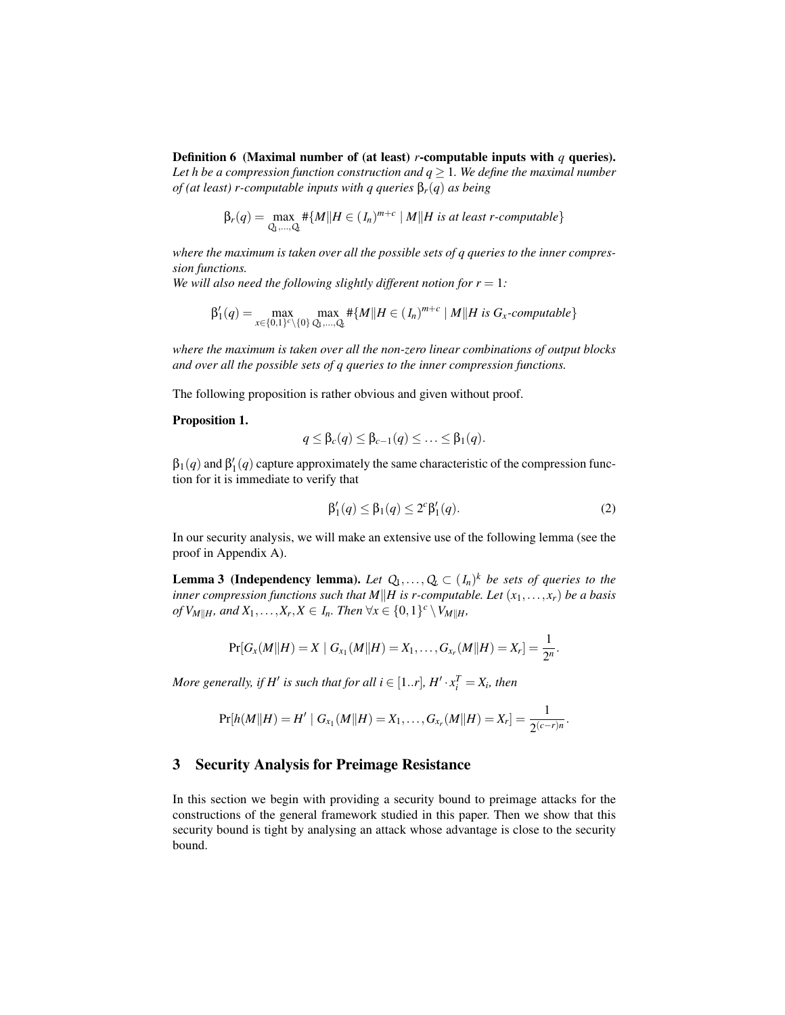Definition 6 (Maximal number of (at least) *r*-computable inputs with *q* queries). *Let h be a compression function construction and*  $q \geq 1$ *. We define the maximal number of (at least) r-computable inputs with q queries* β*r*(*q*) *as being*

$$
\beta_r(q) = \max_{Q_1,\ldots,Q_k} \# \{ M \mid H \in (I_n)^{m+c} \mid M \mid H \text{ is at least } r\text{-computable} \}
$$

*where the maximum is taken over all the possible sets of q queries to the inner compression functions.*

*We will also need the following slightly different notion for*  $r = 1$ *:* 

$$
\beta'_1(q) = \max_{x \in \{0,1\}^c \setminus \{0\}} \max_{Q_1,\ldots,Q_k} \# \{M \mid H \in (I_n)^{m+c} \mid M \mid H \text{ is } G_x\text{-computable}\}
$$

*where the maximum is taken over all the non-zero linear combinations of output blocks and over all the possible sets of q queries to the inner compression functions.*

The following proposition is rather obvious and given without proof.

#### Proposition 1.

$$
q \leq \beta_c(q) \leq \beta_{c-1}(q) \leq \ldots \leq \beta_1(q).
$$

 $\beta_1(q)$  and  $\beta_1'(q)$  capture approximately the same characteristic of the compression function for it is immediate to verify that

$$
\beta_1'(q) \le \beta_1(q) \le 2^c \beta_1'(q). \tag{2}
$$

In our security analysis, we will make an extensive use of the following lemma (see the proof in Appendix A).

**Lemma 3 (Independency lemma).** Let  $Q_1, \ldots, Q_t \subset (I_n)^k$  be sets of queries to the *inner compression functions such that*  $M||H$  *is r-computable. Let*  $(x_1,...,x_r)$  *be a basis*  $of$   $V_{M||H}$ *, and*  $X_1, \ldots, X_r, X \in I_n$ *. Then*  $\forall x \in \{0,1\}^c \setminus V_{M||H}$ *,* 

$$
\Pr[G_{x}(M||H) = X \mid G_{x_1}(M||H) = X_1, \ldots, G_{x_r}(M||H) = X_r] = \frac{1}{2^n}.
$$

*More generally, if*  $H'$  *is such that for all*  $i \in [1..r]$ *,*  $H' \cdot x_i^T = X_i$ *, then* 

$$
\Pr[h(M||H) = H' | G_{x_1}(M||H) = X_1, \ldots, G_{x_r}(M||H) = X_r] = \frac{1}{2^{(c-r)n}}.
$$

#### 3 Security Analysis for Preimage Resistance

In this section we begin with providing a security bound to preimage attacks for the constructions of the general framework studied in this paper. Then we show that this security bound is tight by analysing an attack whose advantage is close to the security bound.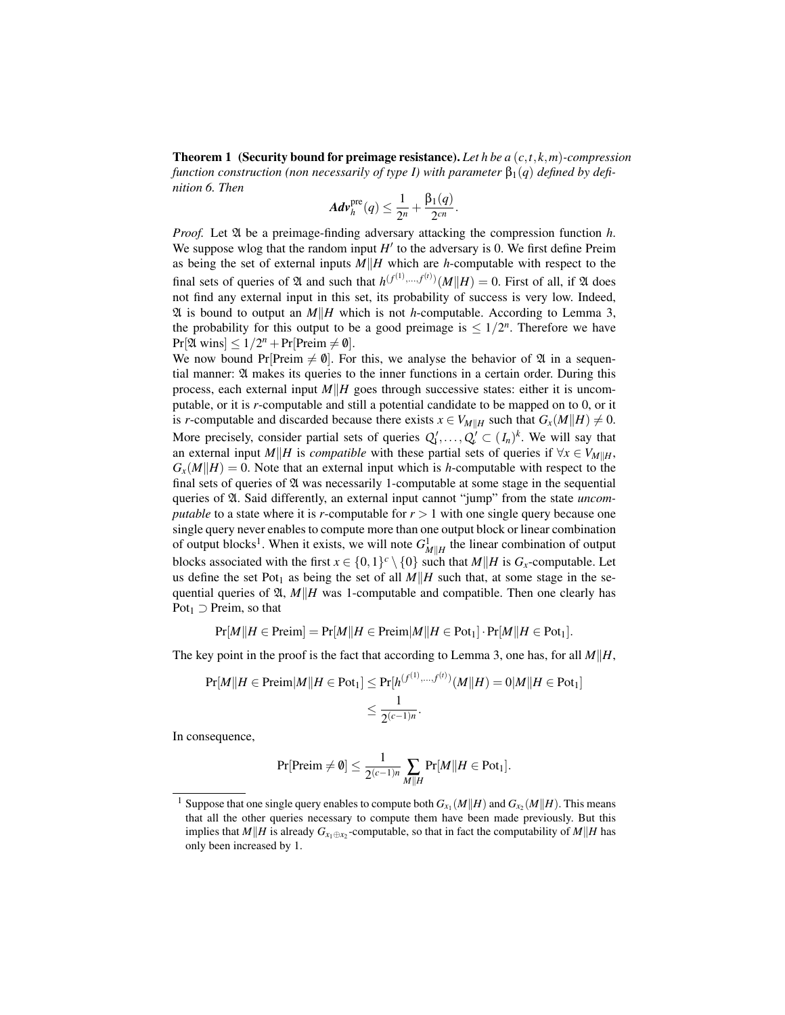Theorem 1 (Security bound for preimage resistance). *Let h be a* (*c*,*t*,*k*,*m*)*-compression function construction (non necessarily of type I) with parameter*  $\beta_1(q)$  *defined by definition 6. Then*

$$
Adv_h^{\rm pre}(q) \leq \frac{1}{2^n} + \frac{\beta_1(q)}{2^{cn}}.
$$

*Proof.* Let  $\mathfrak A$  be a preimage-finding adversary attacking the compression function *h*. We suppose wlog that the random input  $H'$  to the adversary is 0. We first define Preim as being the set of external inputs  $M||H$  which are *h*-computable with respect to the final sets of queries of  $\mathfrak A$  and such that  $h^{(f^{(1)},...,f^{(t)})}(M||H) = 0$ . First of all, if  $\mathfrak A$  does not find any external input in this set, its probability of success is very low. Indeed,  $\mathfrak A$  is bound to output an *M*||*H* which is not *h*-computable. According to Lemma 3, the probability for this output to be a good preimage is  $\leq 1/2^n$ . Therefore we have  $Pr[\mathfrak{A} \text{ wins}] \leq 1/2^n + Pr[Preim \neq \emptyset].$ 

We now bound Pr[Preim  $\neq \emptyset$ ]. For this, we analyse the behavior of  $\mathfrak A$  in a sequential manner: A makes its queries to the inner functions in a certain order. During this process, each external input  $M||H|$  goes through successive states: either it is uncomputable, or it is *r*-computable and still a potential candidate to be mapped on to 0, or it is *r*-computable and discarded because there exists  $x \in V_{M||H}$  such that  $G_x(M||H) \neq 0$ . More precisely, consider partial sets of queries  $Q'_1, \ldots, Q'_\ell \subset (I_n)^k$ . We will say that an external input *M*|*H* is *compatible* with these partial sets of queries if  $\forall x \in V_{M \parallel H}$ ,  $G_x(M||H) = 0$ . Note that an external input which is *h*-computable with respect to the final sets of queries of  $\mathfrak A$  was necessarily 1-computable at some stage in the sequential queries of A. Said differently, an external input cannot "jump" from the state *uncomputable* to a state where it is *r*-computable for  $r > 1$  with one single query because one single query never enables to compute more than one output block or linear combination of output blocks<sup>1</sup>. When it exists, we will note  $G_{M||H}^1$  the linear combination of output blocks associated with the first  $x \in \{0,1\}^c \setminus \{0\}$  such that  $M||H$  is  $G_x$ -computable. Let us define the set Pot<sub>1</sub> as being the set of all  $M||H$  such that, at some stage in the sequential queries of  $\mathfrak{A}, M||H$  was 1-computable and compatible. Then one clearly has  $Pot<sub>1</sub> \supset Preim$ , so that

$$
Pr[M||H \in Preim] = Pr[M||H \in Preim|M||H \in Pot_1] \cdot Pr[M||H \in Pot_1].
$$

The key point in the proof is the fact that according to Lemma 3, one has, for all  $M||H$ ,

$$
\Pr[M||H \in \text{Preim}|M||H \in \text{Pot}_1] \le \Pr[h^{(f^{(1)},...,f^{(t)})}(M||H) = 0|M||H \in \text{Pot}_1] \le \frac{1}{2^{(c-1)n}}.
$$

In consequence,

$$
\Pr[\text{Preim} \neq \emptyset] \leq \frac{1}{2^{(c-1)n}} \sum_{M \parallel H} \Pr[M \parallel H \in \text{Pot}_1].
$$

<sup>&</sup>lt;sup>1</sup> Suppose that one single query enables to compute both  $G_{x_1}(M||H)$  and  $G_{x_2}(M||H)$ . This means that all the other queries necessary to compute them have been made previously. But this implies that *M*||*H* is already  $G_{x_1 \oplus x_2}$ -computable, so that in fact the computability of *M*||*H* has only been increased by 1.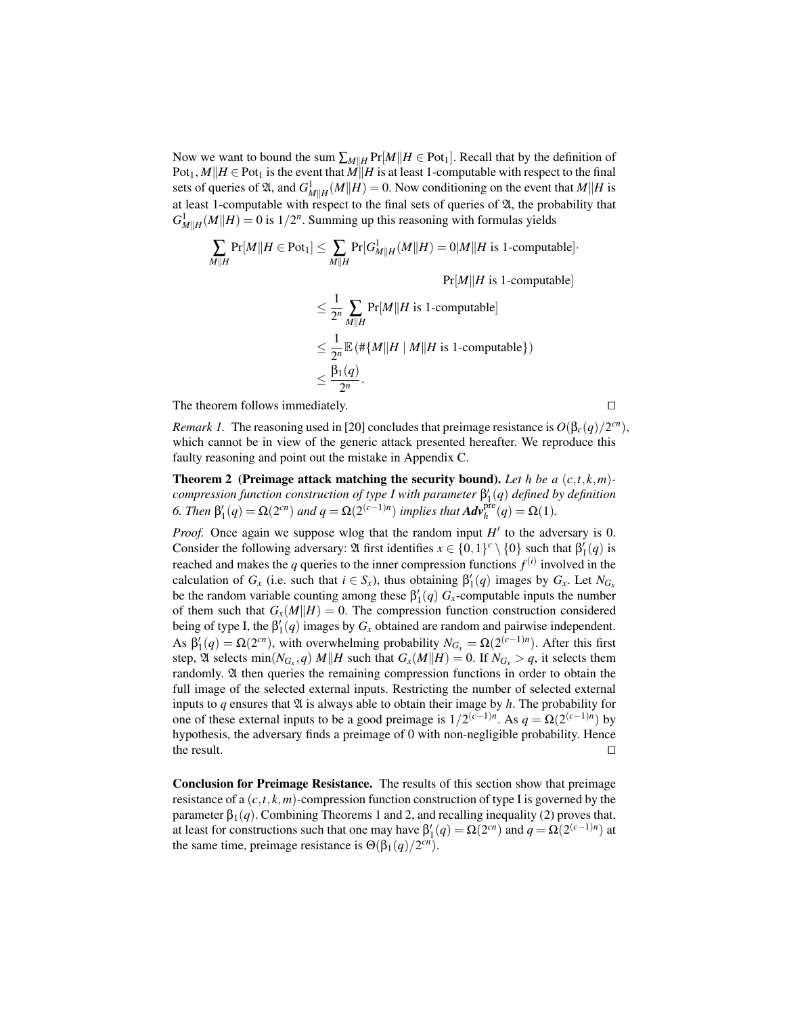Now we want to bound the sum  $\sum_{M||H} Pr[M||H \in Pot_1]$ . Recall that by the definition of  $Pot_1$ ,  $M||H \in Pot_1$  is the event that  $M||H$  is at least 1-computable with respect to the final sets of queries of  $\mathfrak{A}$ , and  $G_{M||H}^1(M||H) = 0$ . Now conditioning on the event that  $M||H$  is at least 1-computable with respect to the final sets of queries of  $\mathfrak A$ , the probability that  $G_{M||H}^1(M||H) = 0$  is  $1/2^n$ . Summing up this reasoning with formulas yields

$$
\sum_{M||H} \Pr[M||H \in \text{Pot}_1] \le \sum_{M||H} \Pr[G^1_{M||H}(M||H) = 0|M||H \text{ is 1-computable}].
$$

 $Pr[M||H$  is 1-computable]

$$
\leq \frac{1}{2^n} \sum_{M \parallel H} \Pr[M \parallel H \text{ is 1-computable}]
$$
  

$$
\leq \frac{1}{2^n} \mathbb{E} \left( \#\{M \parallel H \mid M \parallel H \text{ is 1-computable} \} \right)
$$
  

$$
\leq \frac{\beta_1(q)}{2^n}.
$$

The theorem follows immediately.  $\Box$ 

*Remark 1.* The reasoning used in [20] concludes that preimage resistance is  $O(\beta_c(q)/2^{cn})$ , which cannot be in view of the generic attack presented hereafter. We reproduce this faulty reasoning and point out the mistake in Appendix C.

Theorem 2 (Preimage attack matching the security bound). *Let h be a* (*c*,*t*,*k*,*m*) *compression function construction of type I with parameter* β 0 1 (*q*) *defined by definition 6. Then*  $β'_{1}(q) = Ω(2<sup>cn</sup>)$  *and*  $q = Ω(2<sup>(c-1)n</sup>)$  *implies that*  $Adv_{h}^{pre}(q) = Ω(1)$ *.* 

*Proof.* Once again we suppose wlog that the random input  $H'$  to the adversary is 0. Consider the following adversary:  $\mathfrak{A}$  first identifies  $x \in \{0,1\}^c \setminus \{0\}$  such that  $\beta'_1(q)$  is reached and makes the  $q$  queries to the inner compression functions  $f^{(i)}$  involved in the calculation of  $G_x$  (i.e. such that  $i \in S_x$ ), thus obtaining  $\beta'_1(q)$  images by  $G_x$ . Let  $N_{G_x}$ be the random variable counting among these  $\beta_1'(q)$   $G_x$ -computable inputs the number of them such that  $G_x(M||H) = 0$ . The compression function construction considered being of type I, the  $\beta_1'(q)$  images by  $G_x$  obtained are random and pairwise independent. As  $\beta'_1(q) = \Omega(2^{cn})$ , with overwhelming probability  $N_{G_x} = \Omega(2^{(c-1)n})$ . After this first step,  $\mathfrak A$  selects  $\min(N_{G_x}, q)$  *M*||*H* such that  $G_x(M||H) = 0$ . If  $N_{G_x} > q$ , it selects them randomly. A then queries the remaining compression functions in order to obtain the full image of the selected external inputs. Restricting the number of selected external inputs to  $q$  ensures that  $\mathfrak A$  is always able to obtain their image by  $h$ . The probability for one of these external inputs to be a good preimage is  $1/2^{(c-1)n}$ . As  $q = \Omega(2^{(c-1)n})$  by hypothesis, the adversary finds a preimage of 0 with non-negligible probability. Hence the result.  $\Box$ 

Conclusion for Preimage Resistance. The results of this section show that preimage resistance of a (*c*,*t*,*k*,*m*)-compression function construction of type I is governed by the parameter  $\beta_1(q)$ . Combining Theorems 1 and 2, and recalling inequality (2) proves that, at least for constructions such that one may have  $\beta'_1(q) = \Omega(2^{cn})$  and  $q = \Omega(2^{(c-1)n})$  at the same time, preimage resistance is  $\Theta(\beta_1(q)/2^{cn})$ .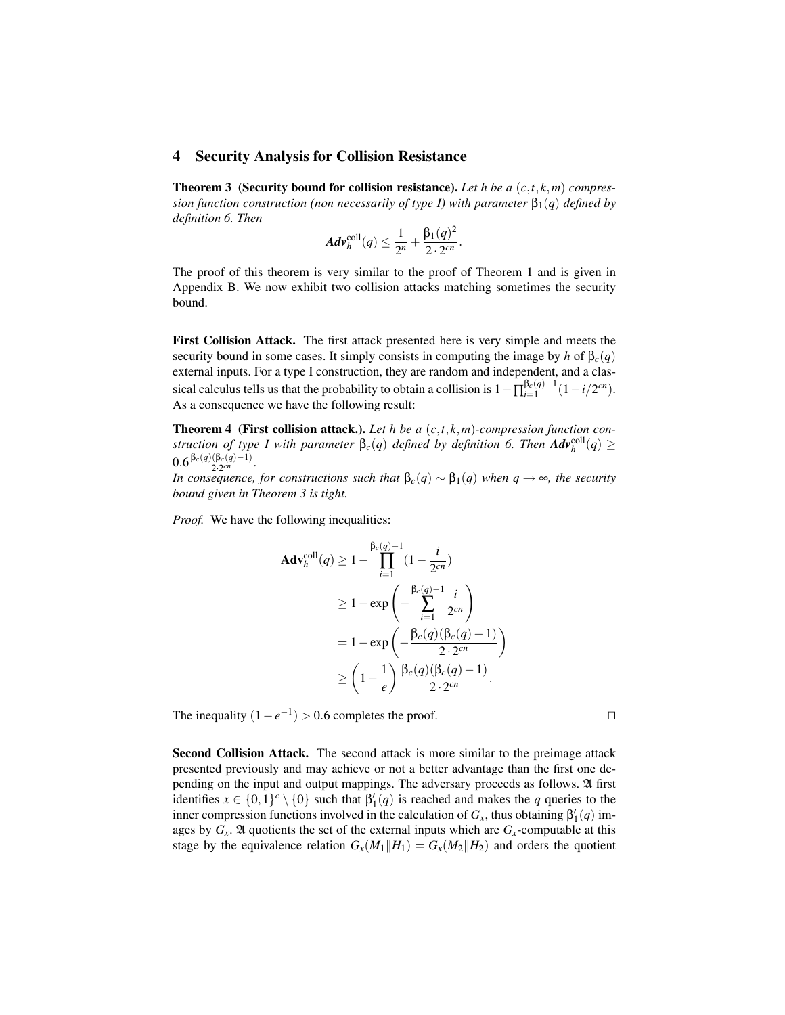#### 4 Security Analysis for Collision Resistance

Theorem 3 (Security bound for collision resistance). *Let h be a* (*c*,*t*,*k*,*m*) *compression function construction (non necessarily of type I) with parameter*  $\beta_1(q)$  *defined by definition 6. Then*

$$
Adv_h^{\text{coll}}(q) \leq \frac{1}{2^n} + \frac{\beta_1(q)^2}{2 \cdot 2^{cn}}.
$$

The proof of this theorem is very similar to the proof of Theorem 1 and is given in Appendix B. We now exhibit two collision attacks matching sometimes the security bound.

First Collision Attack. The first attack presented here is very simple and meets the security bound in some cases. It simply consists in computing the image by *h* of  $\beta_c(q)$ external inputs. For a type I construction, they are random and independent, and a classical calculus tells us that the probability to obtain a collision is  $1 - \prod_{i=1}^{\beta_c(q)-1} (1 - i/2^{cn})$ . As a consequence we have the following result:

Theorem 4 (First collision attack.). *Let h be a* (*c*,*t*,*k*,*m*)*-compression function construction of type I with parameter*  $\beta_c(q)$  *defined by definition 6. Then*  $\boldsymbol{Adv}^{\text{coll}}_h(q) \geq 0$  $0.6 \frac{\beta_c(q)(\beta_c(q)-1)}{2 \cdot 2^{cn}}$ .

*In consequence, for constructions such that*  $\beta_c(q) \sim \beta_1(q)$  *when*  $q \to \infty$ *, the security bound given in Theorem 3 is tight.*

*Proof.* We have the following inequalities:

$$
\begin{aligned} \mathbf{Adv}_{h}^{\text{coll}}(q) &\geq 1 - \prod_{i=1}^{\beta_c(q)-1} (1 - \frac{i}{2^{cn}}) \\ &\geq 1 - \exp\left(-\sum_{i=1}^{\beta_c(q)-1} \frac{i}{2^{cn}}\right) \\ &= 1 - \exp\left(-\frac{\beta_c(q)(\beta_c(q)-1)}{2 \cdot 2^{cn}}\right) \\ &\geq \left(1 - \frac{1}{e}\right) \frac{\beta_c(q)(\beta_c(q)-1)}{2 \cdot 2^{cn}}. \end{aligned}
$$

The inequality  $(1 - e^{-1}) > 0.6$  completes the proof.  $\square$ 

Second Collision Attack. The second attack is more similar to the preimage attack presented previously and may achieve or not a better advantage than the first one depending on the input and output mappings. The adversary proceeds as follows. A first identifies  $x \in \{0,1\}^c \setminus \{0\}$  such that  $\beta'_1(q)$  is reached and makes the *q* queries to the inner compression functions involved in the calculation of  $G_x$ , thus obtaining  $\beta'_1(q)$  images by  $G_x$ .  $\mathfrak A$  quotients the set of the external inputs which are  $G_x$ -computable at this stage by the equivalence relation  $G_x(M_1||H_1) = G_x(M_2||H_2)$  and orders the quotient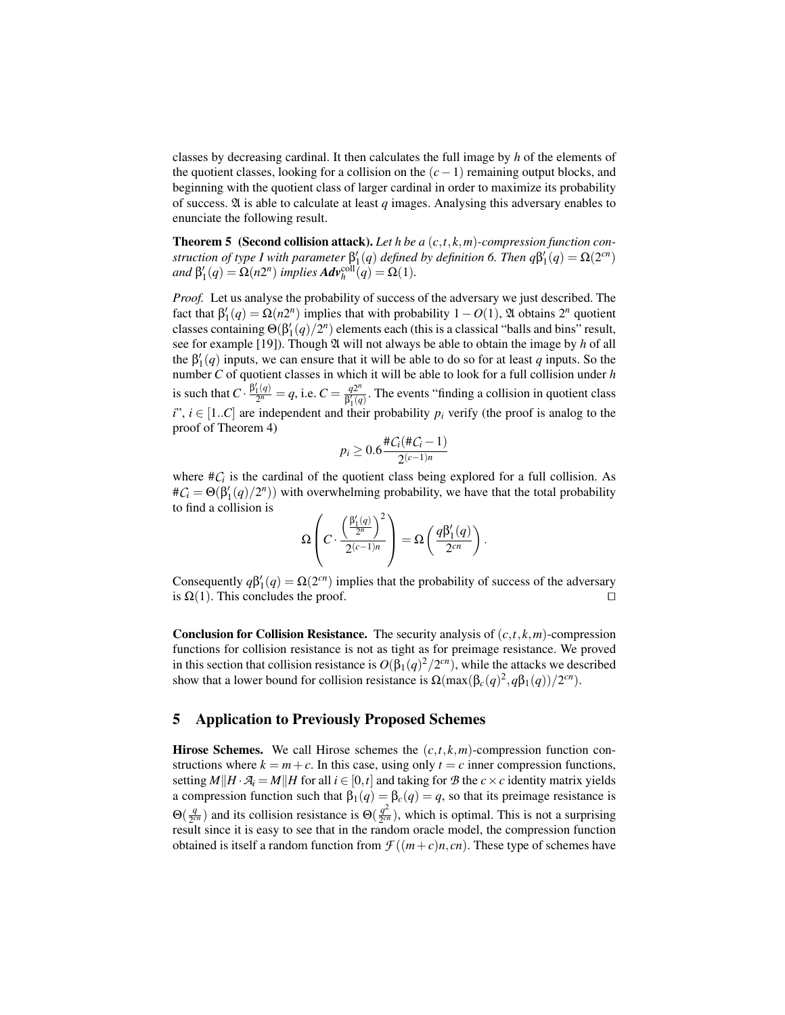classes by decreasing cardinal. It then calculates the full image by *h* of the elements of the quotient classes, looking for a collision on the (*c*−1) remaining output blocks, and beginning with the quotient class of larger cardinal in order to maximize its probability of success.  $\mathfrak A$  is able to calculate at least *q* images. Analysing this adversary enables to enunciate the following result.

Theorem 5 (Second collision attack). *Let h be a* (*c*,*t*,*k*,*m*)*-compression function construction of type I with parameter*  $\beta'_1(q)$  *defined by definition 6. Then*  $q\beta'_1(q) = \Omega(2^{cn})$  $and \beta'_1(q) = \Omega(n2^n)$  *implies*  $Adv_h^{\text{coll}}(q) = \Omega(1)$ *.* 

*Proof.* Let us analyse the probability of success of the adversary we just described. The fact that  $\beta'_1(q) = \Omega(n2^n)$  implies that with probability  $1 - O(1)$ ,  $\mathfrak A$  obtains  $2^n$  quotient classes containing  $\Theta(\beta_1'(q)/2^n)$  elements each (this is a classical "balls and bins" result, see for example [19]). Though  $\mathfrak A$  will not always be able to obtain the image by *h* of all the  $\beta_1'(q)$  inputs, we can ensure that it will be able to do so for at least *q* inputs. So the number *C* of quotient classes in which it will be able to look for a full collision under *h* is such that  $C \cdot \frac{\beta_1'(q)}{2^n}$  $\frac{q_1'(q)}{2^n} = q$ , i.e.  $C = \frac{q2^n}{\beta'_1(q)}$  $\frac{q_2}{\beta_1(q)}$ . The events "finding a collision in quotient class *i*",  $i \in [1..C]$  are independent and their probability  $p_i$  verify (the proof is analog to the proof of Theorem 4)

$$
p_i \geq 0.6 \frac{\#C_i(\#C_i - 1)}{2^{(c-1)n}}
$$

where  $\#C_i$  is the cardinal of the quotient class being explored for a full collision. As  $\#\mathcal{C}_i = \Theta(\beta_1'(q)/2^n)$  with overwhelming probability, we have that the total probability to find a collision is

$$
\Omega\left(C\cdot \frac{\left(\frac{\beta_1'(q)}{2^n}\right)^2}{2^{(c-1)n}}\right)=\Omega\left(\frac{q\beta_1'(q)}{2^{cn}}\right).
$$

Consequently  $q\beta'_{1}(q) = \Omega(2^{cn})$  implies that the probability of success of the adversary is  $\Omega(1)$ . This concludes the proof.

**Conclusion for Collision Resistance.** The security analysis of  $(c, t, k, m)$ -compression functions for collision resistance is not as tight as for preimage resistance. We proved in this section that collision resistance is  $O(\beta_1(q)^2/2^{cn})$ , while the attacks we described show that a lower bound for collision resistance is  $\Omega(\max(\beta_c(q)^2, q\beta_1(q))/2^{cn})$ .

#### 5 Application to Previously Proposed Schemes

**Hirose Schemes.** We call Hirose schemes the  $(c, t, k, m)$ -compression function constructions where  $k = m + c$ . In this case, using only  $t = c$  inner compression functions, setting  $M||H \cdot \mathcal{A}_i = M||H$  for all  $i \in [0, t]$  and taking for  $\mathcal{B}$  the  $c \times c$  identity matrix yields a compression function such that  $\beta_1(q) = \beta_c(q) = q$ , so that its preimage resistance is  $\Theta(\frac{q}{2^c})$  $\frac{q}{2^{cn}}$ ) and its collision resistance is  $\Theta(\frac{q^2}{2^{cn}})$  $\frac{q^2}{2^{cn}}$ ), which is optimal. This is not a surprising result since it is easy to see that in the random oracle model, the compression function obtained is itself a random function from  $\mathcal{F}((m+c)n, cn)$ . These type of schemes have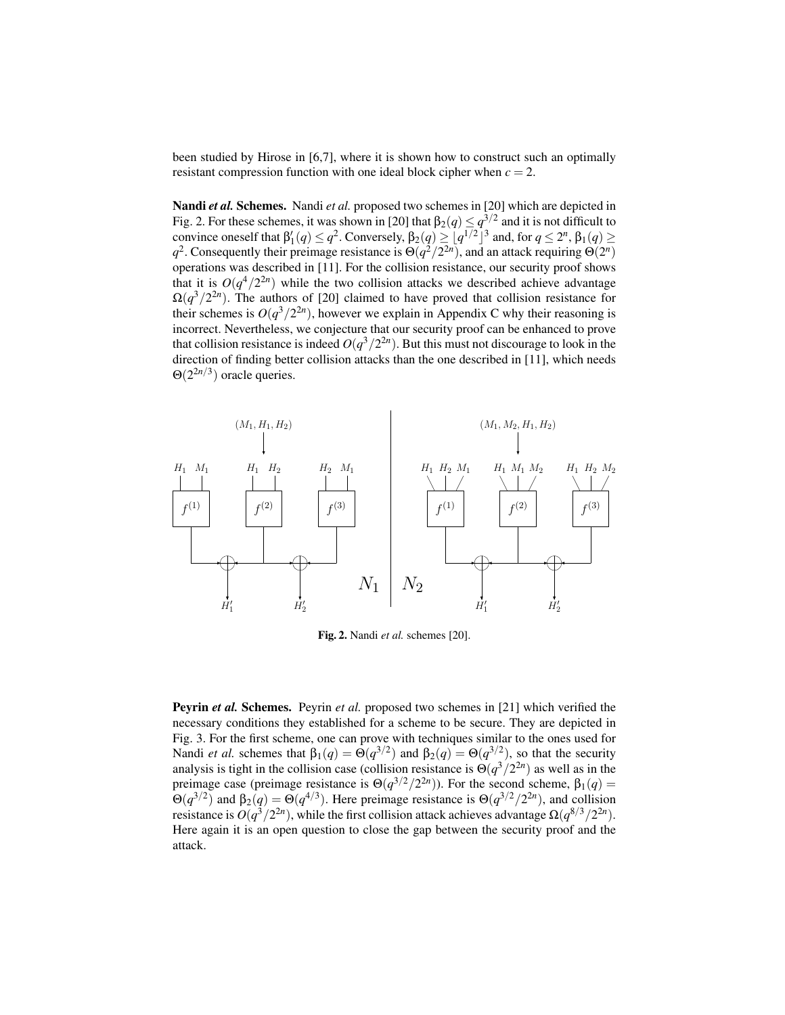been studied by Hirose in [6,7], where it is shown how to construct such an optimally resistant compression function with one ideal block cipher when  $c = 2$ .

Nandi *et al.* Schemes. Nandi *et al.* proposed two schemes in [20] which are depicted in Fig. 2. For these schemes, it was shown in [20] that  $\beta_2(q)\leq q^{3/2}$  and it is not difficult to convince oneself that  $\beta'_1(q) \leq q^2$ . Conversely,  $\beta_2(q) \geq [q^{1/2}]^3$  and, for  $q \leq 2^n$ ,  $\beta_1(q) \geq$ *q*<sup>2</sup>. Consequently their preimage resistance is  $\Theta(q^2/2^{2n})$ , and an attack requiring  $\Theta(2^n)$ operations was described in [11]. For the collision resistance, our security proof shows that it is  $O(q^4/2^{2n})$  while the two collision attacks we described achieve advantage  $\Omega(q^3/2^{2n})$ . The authors of [20] claimed to have proved that collision resistance for their schemes is  $O(q^3/2^{2n})$ , however we explain in Appendix C why their reasoning is incorrect. Nevertheless, we conjecture that our security proof can be enhanced to prove that collision resistance is indeed  $O(q^3/2^{2n})$ . But this must not discourage to look in the direction of finding better collision attacks than the one described in [11], which needs  $\Theta(2^{2n/3})$  oracle queries.



Fig. 2. Nandi *et al.* schemes [20].

Peyrin *et al.* Schemes. Peyrin *et al.* proposed two schemes in [21] which verified the necessary conditions they established for a scheme to be secure. They are depicted in Fig. 3. For the first scheme, one can prove with techniques similar to the ones used for Nandi *et al.* schemes that  $\beta_1(q) = \Theta(q^{3/2})$  and  $\beta_2(q) = \Theta(q^{3/2})$ , so that the security analysis is tight in the collision case (collision resistance is  $\Theta(q^3/2^{2n})$  as well as in the preimage case (preimage resistance is  $\Theta(q^{3/2}/2^{2n})$ ). For the second scheme,  $\beta_1(q)$  = Θ( $q^{3/2}$ ) and β<sub>2</sub>( $q$ ) = Θ( $q^{4/3}$ ). Here preimage resistance is Θ( $q^{3/2}/2^{2n}$ ), and collision resistance is  $O(q^3/2^{2n})$ , while the first collision attack achieves advantage  $\Omega(q^{8/3}/2^{2n})$ . Here again it is an open question to close the gap between the security proof and the attack.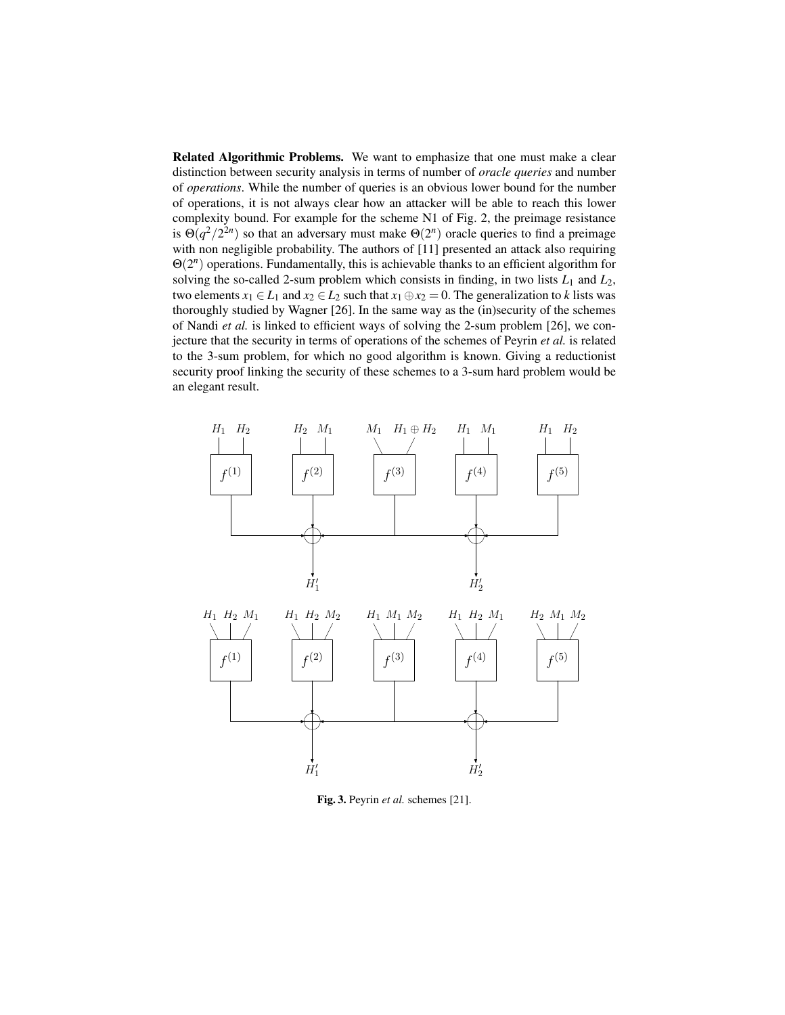Related Algorithmic Problems. We want to emphasize that one must make a clear distinction between security analysis in terms of number of *oracle queries* and number of *operations*. While the number of queries is an obvious lower bound for the number of operations, it is not always clear how an attacker will be able to reach this lower complexity bound. For example for the scheme N1 of Fig. 2, the preimage resistance is  $\Theta(q^2/2^{2n})$  so that an adversary must make  $\Theta(2^n)$  oracle queries to find a preimage with non negligible probability. The authors of [11] presented an attack also requiring Θ(2 *n* ) operations. Fundamentally, this is achievable thanks to an efficient algorithm for solving the so-called 2-sum problem which consists in finding, in two lists  $L_1$  and  $L_2$ , two elements  $x_1 \in L_1$  and  $x_2 \in L_2$  such that  $x_1 \oplus x_2 = 0$ . The generalization to *k* lists was thoroughly studied by Wagner [26]. In the same way as the (in)security of the schemes of Nandi *et al.* is linked to efficient ways of solving the 2-sum problem [26], we conjecture that the security in terms of operations of the schemes of Peyrin *et al.* is related to the 3-sum problem, for which no good algorithm is known. Giving a reductionist security proof linking the security of these schemes to a 3-sum hard problem would be an elegant result.



Fig. 3. Peyrin *et al.* schemes [21].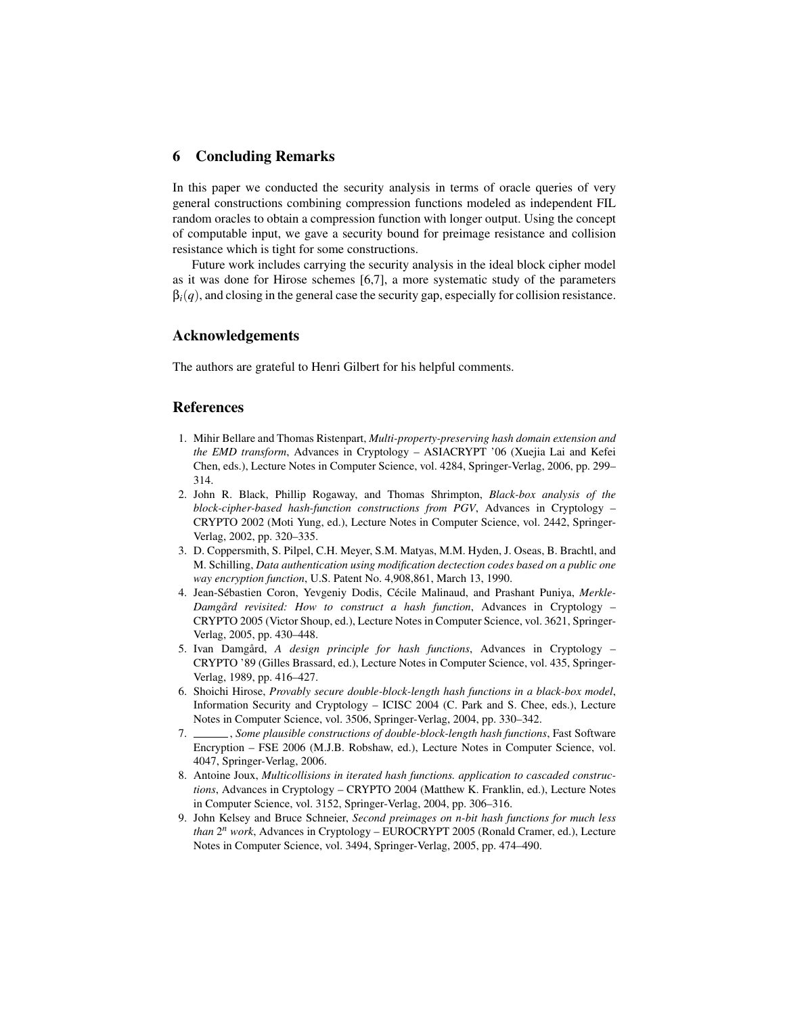## 6 Concluding Remarks

In this paper we conducted the security analysis in terms of oracle queries of very general constructions combining compression functions modeled as independent FIL random oracles to obtain a compression function with longer output. Using the concept of computable input, we gave a security bound for preimage resistance and collision resistance which is tight for some constructions.

Future work includes carrying the security analysis in the ideal block cipher model as it was done for Hirose schemes [6,7], a more systematic study of the parameters  $\beta_i(q)$ , and closing in the general case the security gap, especially for collision resistance.

#### Acknowledgements

The authors are grateful to Henri Gilbert for his helpful comments.

# References

- 1. Mihir Bellare and Thomas Ristenpart, *Multi-property-preserving hash domain extension and the EMD transform*, Advances in Cryptology – ASIACRYPT '06 (Xuejia Lai and Kefei Chen, eds.), Lecture Notes in Computer Science, vol. 4284, Springer-Verlag, 2006, pp. 299– 314.
- 2. John R. Black, Phillip Rogaway, and Thomas Shrimpton, *Black-box analysis of the block-cipher-based hash-function constructions from PGV*, Advances in Cryptology – CRYPTO 2002 (Moti Yung, ed.), Lecture Notes in Computer Science, vol. 2442, Springer-Verlag, 2002, pp. 320–335.
- 3. D. Coppersmith, S. Pilpel, C.H. Meyer, S.M. Matyas, M.M. Hyden, J. Oseas, B. Brachtl, and M. Schilling, *Data authentication using modification dectection codes based on a public one way encryption function*, U.S. Patent No. 4,908,861, March 13, 1990.
- 4. Jean-Sébastien Coron, Yevgeniy Dodis, Cécile Malinaud, and Prashant Puniya, *Merkle-Damgård revisited: How to construct a hash function*, Advances in Cryptology – CRYPTO 2005 (Victor Shoup, ed.), Lecture Notes in Computer Science, vol. 3621, Springer-Verlag, 2005, pp. 430–448.
- 5. Ivan Damgård, *A design principle for hash functions*, Advances in Cryptology CRYPTO '89 (Gilles Brassard, ed.), Lecture Notes in Computer Science, vol. 435, Springer-Verlag, 1989, pp. 416–427.
- 6. Shoichi Hirose, *Provably secure double-block-length hash functions in a black-box model*, Information Security and Cryptology – ICISC 2004 (C. Park and S. Chee, eds.), Lecture Notes in Computer Science, vol. 3506, Springer-Verlag, 2004, pp. 330–342.
- 7. , *Some plausible constructions of double-block-length hash functions*, Fast Software Encryption – FSE 2006 (M.J.B. Robshaw, ed.), Lecture Notes in Computer Science, vol. 4047, Springer-Verlag, 2006.
- 8. Antoine Joux, *Multicollisions in iterated hash functions. application to cascaded constructions*, Advances in Cryptology – CRYPTO 2004 (Matthew K. Franklin, ed.), Lecture Notes in Computer Science, vol. 3152, Springer-Verlag, 2004, pp. 306–316.
- 9. John Kelsey and Bruce Schneier, *Second preimages on n-bit hash functions for much less than* 2 *<sup>n</sup> work*, Advances in Cryptology – EUROCRYPT 2005 (Ronald Cramer, ed.), Lecture Notes in Computer Science, vol. 3494, Springer-Verlag, 2005, pp. 474–490.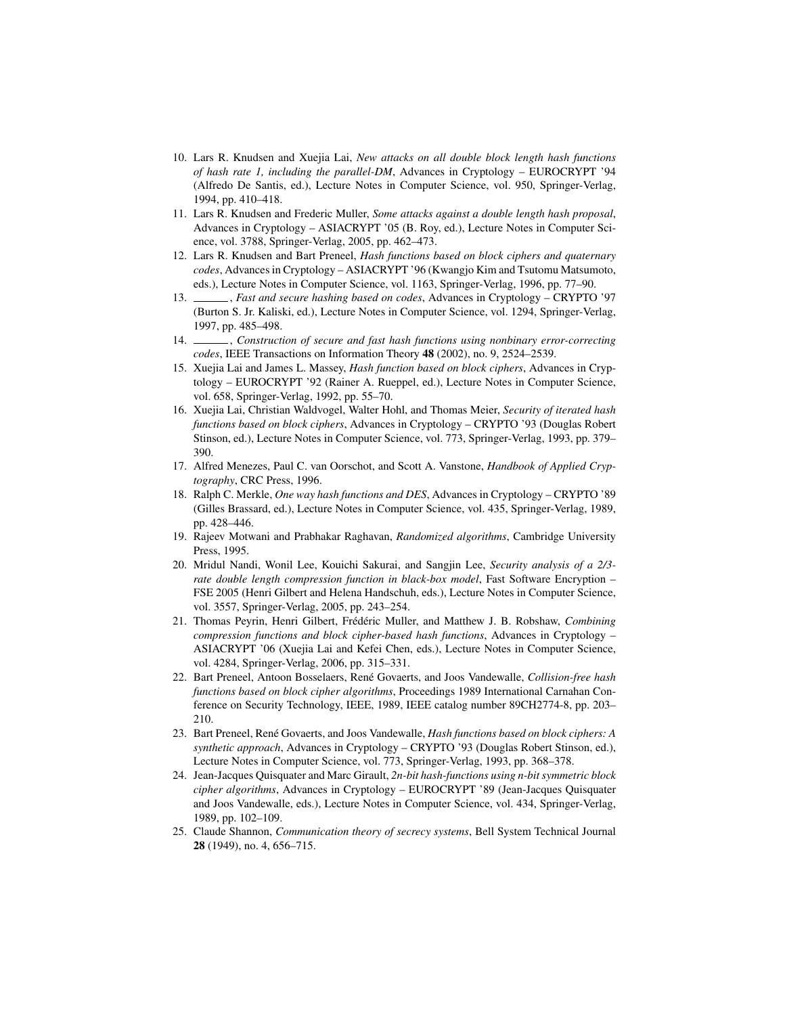- 10. Lars R. Knudsen and Xuejia Lai, *New attacks on all double block length hash functions of hash rate 1, including the parallel-DM*, Advances in Cryptology – EUROCRYPT '94 (Alfredo De Santis, ed.), Lecture Notes in Computer Science, vol. 950, Springer-Verlag, 1994, pp. 410–418.
- 11. Lars R. Knudsen and Frederic Muller, *Some attacks against a double length hash proposal*, Advances in Cryptology – ASIACRYPT '05 (B. Roy, ed.), Lecture Notes in Computer Science, vol. 3788, Springer-Verlag, 2005, pp. 462–473.
- 12. Lars R. Knudsen and Bart Preneel, *Hash functions based on block ciphers and quaternary codes*, Advances in Cryptology – ASIACRYPT '96 (Kwangjo Kim and Tsutomu Matsumoto, eds.), Lecture Notes in Computer Science, vol. 1163, Springer-Verlag, 1996, pp. 77–90.
- 13. , *Fast and secure hashing based on codes*, Advances in Cryptology CRYPTO '97 (Burton S. Jr. Kaliski, ed.), Lecture Notes in Computer Science, vol. 1294, Springer-Verlag, 1997, pp. 485–498.
- 14. , *Construction of secure and fast hash functions using nonbinary error-correcting codes*, IEEE Transactions on Information Theory 48 (2002), no. 9, 2524–2539.
- 15. Xuejia Lai and James L. Massey, *Hash function based on block ciphers*, Advances in Cryptology – EUROCRYPT '92 (Rainer A. Rueppel, ed.), Lecture Notes in Computer Science, vol. 658, Springer-Verlag, 1992, pp. 55–70.
- 16. Xuejia Lai, Christian Waldvogel, Walter Hohl, and Thomas Meier, *Security of iterated hash functions based on block ciphers*, Advances in Cryptology – CRYPTO '93 (Douglas Robert Stinson, ed.), Lecture Notes in Computer Science, vol. 773, Springer-Verlag, 1993, pp. 379– 390.
- 17. Alfred Menezes, Paul C. van Oorschot, and Scott A. Vanstone, *Handbook of Applied Cryptography*, CRC Press, 1996.
- 18. Ralph C. Merkle, *One way hash functions and DES*, Advances in Cryptology CRYPTO '89 (Gilles Brassard, ed.), Lecture Notes in Computer Science, vol. 435, Springer-Verlag, 1989, pp. 428–446.
- 19. Rajeev Motwani and Prabhakar Raghavan, *Randomized algorithms*, Cambridge University Press, 1995.
- 20. Mridul Nandi, Wonil Lee, Kouichi Sakurai, and Sangjin Lee, *Security analysis of a 2/3 rate double length compression function in black-box model*, Fast Software Encryption – FSE 2005 (Henri Gilbert and Helena Handschuh, eds.), Lecture Notes in Computer Science, vol. 3557, Springer-Verlag, 2005, pp. 243–254.
- 21. Thomas Peyrin, Henri Gilbert, Frédéric Muller, and Matthew J. B. Robshaw, *Combining compression functions and block cipher-based hash functions*, Advances in Cryptology – ASIACRYPT '06 (Xuejia Lai and Kefei Chen, eds.), Lecture Notes in Computer Science, vol. 4284, Springer-Verlag, 2006, pp. 315–331.
- 22. Bart Preneel, Antoon Bosselaers, René Govaerts, and Joos Vandewalle, *Collision-free hash functions based on block cipher algorithms*, Proceedings 1989 International Carnahan Conference on Security Technology, IEEE, 1989, IEEE catalog number 89CH2774-8, pp. 203– 210.
- 23. Bart Preneel, René Govaerts, and Joos Vandewalle, *Hash functions based on block ciphers: A synthetic approach*, Advances in Cryptology – CRYPTO '93 (Douglas Robert Stinson, ed.), Lecture Notes in Computer Science, vol. 773, Springer-Verlag, 1993, pp. 368–378.
- 24. Jean-Jacques Quisquater and Marc Girault, *2n-bit hash-functions using n-bit symmetric block cipher algorithms*, Advances in Cryptology – EUROCRYPT '89 (Jean-Jacques Quisquater and Joos Vandewalle, eds.), Lecture Notes in Computer Science, vol. 434, Springer-Verlag, 1989, pp. 102–109.
- 25. Claude Shannon, *Communication theory of secrecy systems*, Bell System Technical Journal 28 (1949), no. 4, 656–715.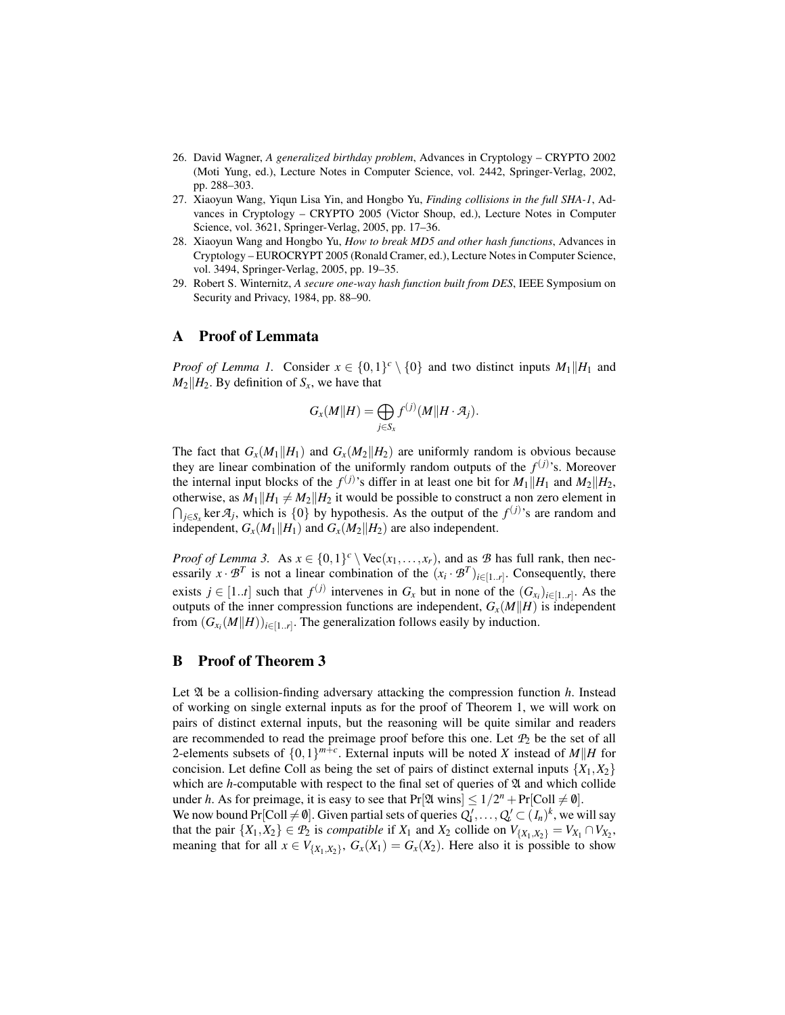- 26. David Wagner, *A generalized birthday problem*, Advances in Cryptology CRYPTO 2002 (Moti Yung, ed.), Lecture Notes in Computer Science, vol. 2442, Springer-Verlag, 2002, pp. 288–303.
- 27. Xiaoyun Wang, Yiqun Lisa Yin, and Hongbo Yu, *Finding collisions in the full SHA-1*, Advances in Cryptology – CRYPTO 2005 (Victor Shoup, ed.), Lecture Notes in Computer Science, vol. 3621, Springer-Verlag, 2005, pp. 17–36.
- 28. Xiaoyun Wang and Hongbo Yu, *How to break MD5 and other hash functions*, Advances in Cryptology – EUROCRYPT 2005 (Ronald Cramer, ed.), Lecture Notes in Computer Science, vol. 3494, Springer-Verlag, 2005, pp. 19–35.
- 29. Robert S. Winternitz, *A secure one-way hash function built from DES*, IEEE Symposium on Security and Privacy, 1984, pp. 88–90.

# A Proof of Lemmata

*Proof of Lemma 1.* Consider  $x \in \{0,1\}^c \setminus \{0\}$  and two distinct inputs  $M_1||H_1$  and  $M_2$ *H*<sub>2</sub>. By definition of *S<sub>x</sub>*, we have that

$$
G_x(M||H) = \bigoplus_{j \in S_x} f^{(j)}(M||H \cdot \mathcal{A}_j).
$$

The fact that  $G_x(M_1||H_1)$  and  $G_x(M_2||H_2)$  are uniformly random is obvious because they are linear combination of the uniformly random outputs of the  $f^{(j)}$ 's. Moreover the internal input blocks of the  $f^{(j)}$ 's differ in at least one bit for  $M_1||H_1$  and  $M_2||H_2$ , otherwise, as  $M_1||H_1 \neq M_2||H_2$  it would be possible to construct a non zero element in  $\bigcap_{j \in S_X}$  ker  $\mathcal{A}_j$ , which is  $\{0\}$  by hypothesis. As the output of the  $f^{(j)}$ 's are random and independent,  $G_x(M_1||H_1)$  and  $G_x(M_2||H_2)$  are also independent.

*Proof of Lemma 3.* As  $x \in \{0,1\}^c \setminus \text{Vec}(x_1,\ldots,x_r)$ , and as *B* has full rank, then necessarily  $x \cdot \mathcal{B}^T$  is not a linear combination of the  $(x_i \cdot \mathcal{B}^T)_{i \in [1..r]}$ . Consequently, there exists  $j \in [1..t]$  such that  $f^{(j)}$  intervenes in  $G_x$  but in none of the  $(G_{x_i})_{i \in [1..r]}$ . As the outputs of the inner compression functions are independent,  $G_x(M||H)$  is independent from  $(G_{x_i}(M||H))_{i \in [1..r]}$ . The generalization follows easily by induction.

#### B Proof of Theorem 3

Let A be a collision-finding adversary attacking the compression function *h*. Instead of working on single external inputs as for the proof of Theorem 1, we will work on pairs of distinct external inputs, but the reasoning will be quite similar and readers are recommended to read the preimage proof before this one. Let  $P_2$  be the set of all 2-elements subsets of  $\{0,1\}^{m+c}$ . External inputs will be noted *X* instead of *M*||*H* for concision. Let define Coll as being the set of pairs of distinct external inputs  $\{X_1, X_2\}$ which are *h*-computable with respect to the final set of queries of  $\mathfrak A$  and which collide under *h*. As for preimage, it is easy to see that  $Pr[\mathfrak{A} \text{ wins}] \leq 1/2^n + Pr[\text{Coll} \neq \emptyset]$ . We now bound  $Pr[Coll \neq \emptyset]$ . Given partial sets of queries  $Q'_1, \ldots, Q'_t \subset (I_n)^k$ , we will say

that the pair  $\{X_1, X_2\} \in \mathcal{P}_2$  is *compatible* if  $X_1$  and  $X_2$  collide on  $V_{\{X_1, X_2\}} = V_{X_1} \cap V_{X_2}$ , meaning that for all  $x \in V_{\{X_1, X_2\}}$ ,  $G_x(X_1) = G_x(X_2)$ . Here also it is possible to show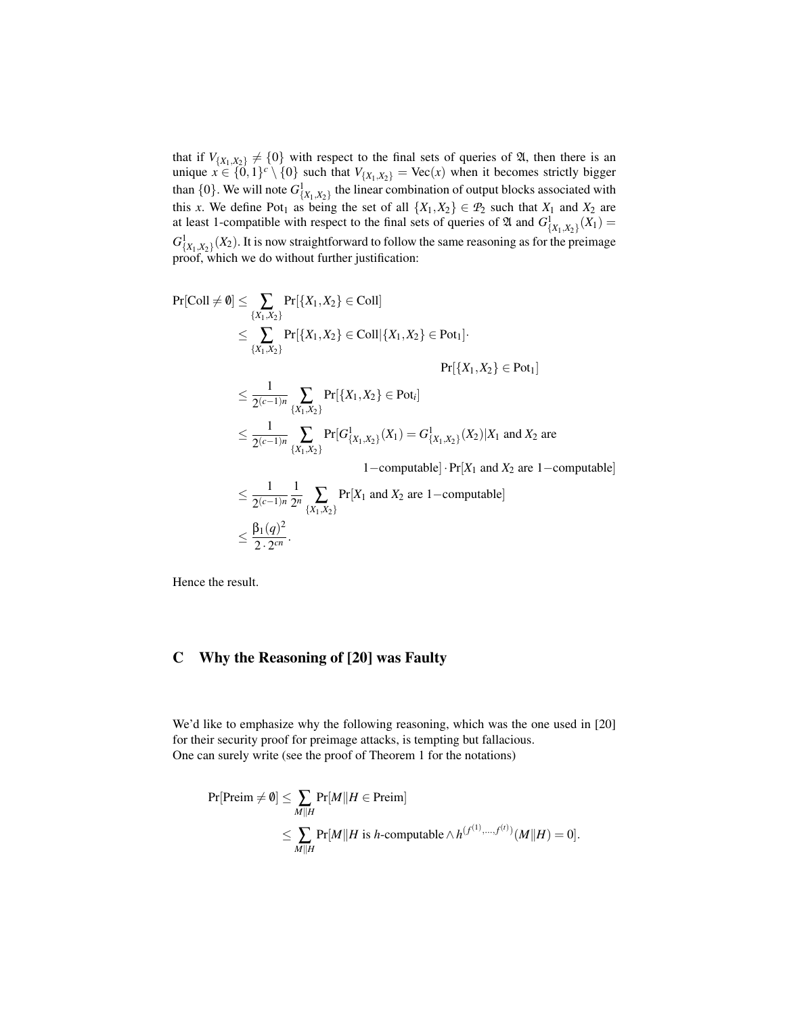that if  $V_{\{X_1, X_2\}} \neq \{0\}$  with respect to the final sets of queries of  $\mathfrak{A}$ , then there is an unique  $x \in \{0,1\}^c \setminus \{0\}$  such that  $V_{\{X_1,X_2\}} = \text{Vec}(x)$  when it becomes strictly bigger than  $\{0\}$ . We will note  $G_{\{X_1, X_2\}}^1$  the linear combination of output blocks associated with this *x*. We define Pot<sub>1</sub> as being the set of all  $\{X_1, X_2\} \in \mathcal{P}_2$  such that  $X_1$  and  $X_2$  are at least 1-compatible with respect to the final sets of queries of  $\mathfrak{A}$  and  $G^1_{\{X_1, X_2\}}(X_1)$  $G_{\{X_1, X_2\}}^1(X_2)$ . It is now straightforward to follow the same reasoning as for the preimage proof, which we do without further justification:

$$
Pr[Coll \neq 0] \leq \sum_{\{X_1, X_2\}} Pr[\{X_1, X_2\} \in Coll | \{X_1, X_2\} \in Pol] |
$$
\n
$$
\leq \sum_{\{X_1, X_2\}} Pr[\{X_1, X_2\} \in Coll | \{X_1, X_2\} \in Pot_1] \cdot Pr[\{X_1, X_2\} \in Pot_1]
$$
\n
$$
\leq \frac{1}{2^{(c-1)n}} \sum_{\{X_1, X_2\}} Pr[\{X_1, X_2\} \in Pot_i]
$$
\n
$$
\leq \frac{1}{2^{(c-1)n}} \sum_{\{X_1, X_2\}} Pr[G_{\{X_1, X_2\}}^1(X_1) = G_{\{X_1, X_2\}}^1(X_2) | X_1 \text{ and } X_2 \text{ are } 1-\text{computable}] \cdot Pr[X_1 \text{ and } X_2 \text{ are } 1-\text{computable}]
$$
\n
$$
\leq \frac{1}{2^{(c-1)n}} \frac{1}{2^n} \sum_{\{X_1, X_2\}} Pr[X_1 \text{ and } X_2 \text{ are } 1-\text{computable}]
$$
\n
$$
\leq \frac{\beta_1(q)^2}{2 \cdot 2^{cn}}.
$$

Hence the result.

# C Why the Reasoning of [20] was Faulty

We'd like to emphasize why the following reasoning, which was the one used in [20] for their security proof for preimage attacks, is tempting but fallacious. One can surely write (see the proof of Theorem 1 for the notations)

$$
\Pr[\text{Preim} \neq \emptyset] \le \sum_{M \parallel H} \Pr[M \parallel H \in \text{Preim}]
$$
\n
$$
\le \sum_{M \parallel H} \Pr[M \parallel H \text{ is } h\text{-computable} \land h^{(f^{(1)},...,f^{(t)})}(M \parallel H) = 0].
$$